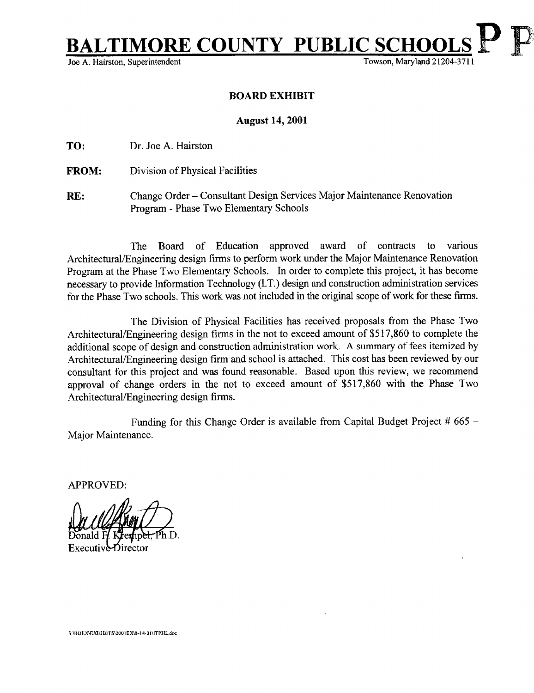MORE COUNTY PUBLIC SCHOOLS

Joe A. Hairston, Superintendent

## BOARD EXHIBIT

## August 14, 2001

TO: Dr. Joe A. Hairston

FROM: Division of Physical Facilities

RE: Change Order - Consultant Design Services Major Maintenance Renovation Program - Phase Two Elementary Schools

The Board of Education approved award of contracts to various Architectural/Engineering design firms to perform work under the Major Maintenance Renovation Program at the Phase Two Elementary Schools. In order to complete this project, it has become necessary to provide Information Technology (I.T.) design and construction administration services for the Phase Two schools. This work was not included in the original scope of work for these firms.

The Division of Physical Facilities has received proposals from the Phase Two Architectural/Engineering design firms in the not to exceed amount of \$517,860 to complete the additional scope of design and construction administration work. A summary of fees itemized by Architectural/Engineering design firm and school is attached. This cost has been reviewed by our consultant for this project and was found reasonable. Based upon this review, we recommend approval of change orders in the not to exceed amount of \$517,860 with the Phase Two Architectural/Engineering design firms.

Funding for this Change Order is available from Capital Budget Project  $#665 -$ Major Maintenance.

APPROVED:

<sup>S</sup> \BDEX\EXHIBITS\2001 EX\8-19 . 0 <sup>1</sup> \ITPH2 do.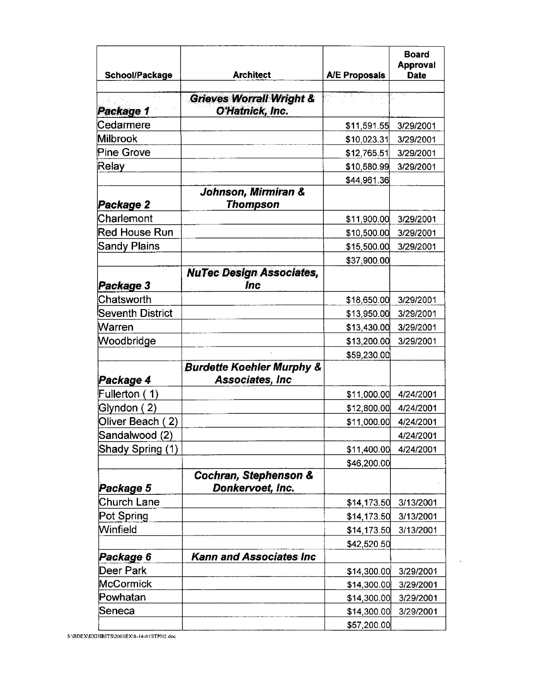| School/Package       | <b>Architect</b>                                                | <b>A/E Proposals</b> | <b>Board</b><br>Approval<br><b>Date</b> |
|----------------------|-----------------------------------------------------------------|----------------------|-----------------------------------------|
| Package 1            | <b>Grieves Worrall Wright &amp;</b><br>O'Hatnick, Inc.          |                      |                                         |
| Cedarmere            |                                                                 | \$11,591.55          | 3/29/2001                               |
| Milbrook             |                                                                 | \$10,023.31          | 3/29/2001                               |
| Pine Grove           |                                                                 | \$12,765.51          | 3/29/2001                               |
| Relay                |                                                                 | \$10,580.99          | 3/29/2001                               |
|                      |                                                                 | \$44,961.36          |                                         |
| Package 2            | Johnson, Mirmiran &<br>Thompson                                 |                      |                                         |
| Charlemont           |                                                                 | \$11,900.00          | 3/29/2001                               |
| <b>Red House Run</b> |                                                                 | \$10,500.00          | 3/29/2001                               |
| Sandy Plains         |                                                                 | \$15,500.00          | 3/29/2001                               |
|                      |                                                                 | \$37,900.00          |                                         |
| Package 3            | <b>NuTec Design Associates,</b><br><b>Inc</b>                   |                      |                                         |
| Chatsworth           |                                                                 | \$18,650.00          | 3/29/2001                               |
| Seventh District     |                                                                 | \$13,950.00          | 3/29/2001                               |
| Warren               |                                                                 | \$13,430.00          | 3/29/2001                               |
| Woodbridge           |                                                                 | \$13,200.00          | 3/29/2001                               |
|                      |                                                                 | \$59,230.00          |                                         |
| Package 4            | <b>Burdette Koehler Murphy &amp;</b><br><b>Associates, Inc.</b> |                      |                                         |
| Fullerton (<br>1)    |                                                                 | \$11,000.00          | 4/24/2001                               |
| Glyndon ( 2)         |                                                                 | \$12,800.00          | 4/24/2001                               |
| Oliver Beach (2)     |                                                                 | \$11,000.00          | 4/24/2001                               |
| Sandalwood (2)       |                                                                 |                      | 4/24/2001                               |
| Shady Spring (1)     |                                                                 | \$11,400.00          | 4/24/2001                               |
|                      |                                                                 | \$46,200.00          |                                         |
| Package 5            | <b>Cochran, Stephenson &amp;</b><br>Donkervoet, Inc.            |                      |                                         |
| Church Lane          |                                                                 | \$14,173.50          | 3/13/2001                               |
| Pot Spring           |                                                                 | \$14,173.50          | 3/13/2001                               |
| Winfield             |                                                                 | \$14,173.50          | 3/13/2001                               |
|                      |                                                                 | \$42,520.50          |                                         |
| Package 6            | <b>Kann and Associates Inc</b>                                  |                      |                                         |
| Deer Park            |                                                                 | \$14,300.00          | 3/29/2001                               |
| McCormick            |                                                                 | \$14,300.00          | 3/29/2001                               |
| Powhatan             |                                                                 | \$14,300.00          | 3/29/2001                               |
| Seneca               |                                                                 | \$14,300.00          | 3/29/2001                               |
|                      |                                                                 | \$57,200.00          |                                         |

 $\epsilon$ 

SABDEX\EXHIBITS\2001EX\8-14-01\ITPH2.doc